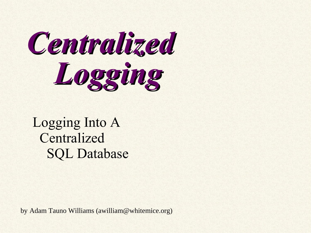

#### Logging Into A Centralized SQL Database

by Adam Tauno Williams ([awilliam@whitemice.org](mailto:awilliam@whitemice.org))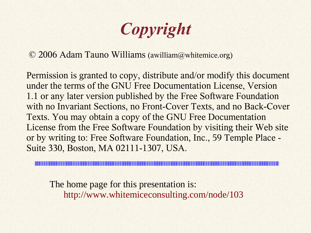*Copyright*

© 2006 Adam Tauno Williams (awilliam@whitemice.org)

Permission is granted to copy, distribute and/or modify this document under the terms of the GNU Free Documentation License, Version 1.1 or any later version published by the Free Software Foundation with no Invariant Sections, no Front-Cover Texts, and no Back-Cover Texts. You may obtain a copy of the GNU Free Documentation License from the Free Software Foundation by visiting their Web site or by writing to: Free Software Foundation, Inc., 59 Temple Place - Suite 330, Boston, MA 02111-1307, USA.

The home page for this presentation is: http://www.whitemiceconsulting.com/node/103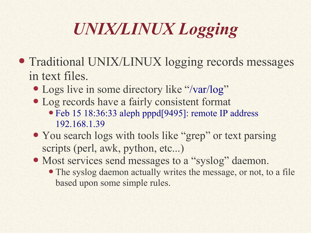# *UNIX/LINUX Logging*

- Traditional UNIX/LINUX logging records messages in text files.
	- Logs live in some directory like "/var/log"
	- Log records have a fairly consistent format
		- Feb 15 18:36:33 aleph pppd[9495]: remote IP address 192.168.1.39
	- You search logs with tools like "grep" or text parsing scripts (perl, awk, python, etc...)
	- Most services send messages to a "syslog" daemon.
		- The syslog daemon actually writes the message, or not, to a file based upon some simple rules.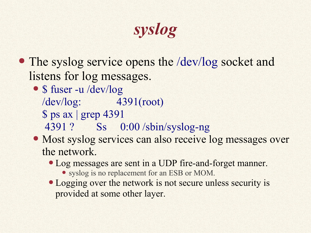## *syslog*

- The syslog service opens the /dev/log socket and listens for log messages.
	- \$ fuser -u /dev/log /dev/log: 4391(root) \$ ps ax | grep 4391 4391 ? Ss 0:00 /sbin/syslog-ng
	- Most syslog services can also receive log messages over the network.
		- Log messages are sent in a UDP fire-and-forget manner.
			- syslog is no replacement for an ESB or MOM.
		- Logging over the network is not secure unless security is provided at some other layer.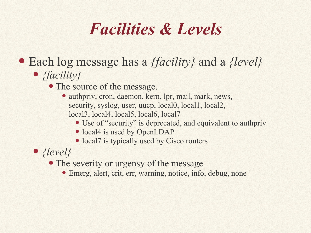### *Facilities & Levels*

#### ● Each log message has a *{facility}* and a *{level}*

- *{facility}*
	- The source of the message.
		- authpriv, cron, daemon, kern, lpr, mail, mark, news, security, syslog, user, uucp, local0, local1, local2, local3, local4, local5, local6, local7
			- Use of "security" is deprecated, and equivalent to authpriv
			- local4 is used by OpenLDAP
			- local7 is typically used by Cisco routers

● *{level}*

- The severity or urgensy of the message
	- Emerg, alert, crit, err, warning, notice, info, debug, none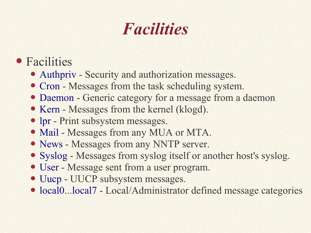## *Facilities*

- Facilities
	- Authpriv Security and authorization messages.
	- Cron Messages from the task scheduling system.
	- Daemon Generic category for a message from a daemon
	- Kern Messages from the kernel (klogd).
	- lpr Print subsystem messages.
	- Mail Messages from any MUA or MTA.
	- News Messages from any NNTP server.
	- Syslog Messages from syslog itself or another host's syslog.
	- User Message sent from a user program.
	- Uucp UUCP subsystem messages.
	- local0...local7 Local/Administrator defined message categories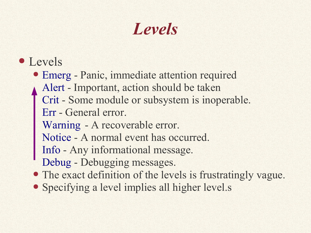## *Levels*

- Levels
	- Emerg Panic, immediate attention required Alert - Important, action should be taken Crit - Some module or subsystem is inoperable. Err - General error. Warning - A recoverable error.
		- Notice A normal event has occurred.
		- Info Any informational message.
		- Debug Debugging messages.
	- The exact definition of the levels is frustratingly vague.
	- Specifying a level implies all higher level.s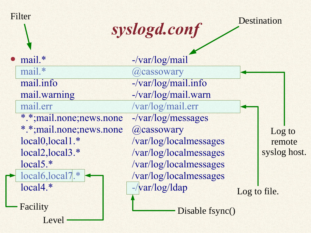| Filter                    | syslogd.conf                        |              | Destination  |
|---------------------------|-------------------------------------|--------------|--------------|
| mail.*                    | -/var/log/mail                      |              |              |
| mail.*                    | @cassowary                          |              |              |
| mail.info                 | $-\frac{\sqrt{var/log}}{\log}$      |              |              |
| mail.warning              | -/var/log/mail.warn                 |              |              |
| mail.err                  | /var/log/mail.err                   |              |              |
| *.*; mail.none; news.none | $-\frac{\sqrt{var}}{\log}$ messages |              |              |
| *.*;mail.none;news.none   | @cassowary                          |              | Log to       |
| local0, local1.*          | /var/log/localmessages              |              | remote       |
| local2, local3.*          | /var/log/localmessages              |              | syslog host. |
| local5.*                  | /var/log/localmessages              |              |              |
| local6, local7.*          | /var/log/localmessages              |              |              |
| $local4.*$                | $-\sqrt{var/log/ldap}$              | Log to file. |              |
| Facility                  | Disable fsync()                     |              |              |
| Level                     |                                     |              |              |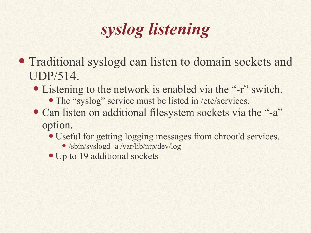# *syslog listening*

- Traditional syslogd can listen to domain sockets and UDP/514.
	- Listening to the network is enabled via the "-r" switch.
		- The "syslog" service must be listed in /etc/services.
	- Can listen on additional filesystem sockets via the "-a" option.
		- Useful for getting logging messages from chroot'd services.
			- /sbin/syslogd -a /var/lib/ntp/dev/log
		- Up to 19 additional sockets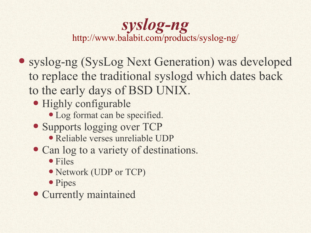#### *syslog-ng* http://www.balabit.com/products/syslog-ng/

- syslog-ng (SysLog Next Generation) was developed to replace the traditional syslogd which dates back to the early days of BSD UNIX.
	- Highly configurable
		- Log format can be specified.
	- Supports logging over TCP
		- Reliable verses unreliable UDP
	- Can log to a variety of destinations.
		- Files
		- Network (UDP or TCP)
		- Pipes
	- Currently maintained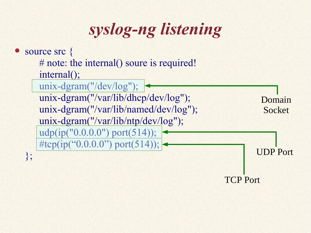*syslog-ng listening*

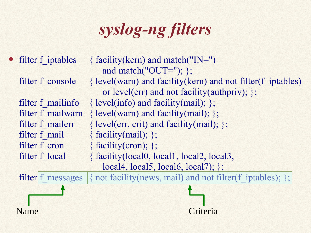*syslog-ng filters*

| • filter f iptables | { facility(kern) and match("IN=")<br>and match("OUT="); $\};$ |
|---------------------|---------------------------------------------------------------|
| filter f console    | { level(warn) and facility(kern) and not filter(f iptables)   |
|                     | or level(err) and not facility(authpriv); $\};$               |
| filter f mailinfo   | { level(info) and facility(mail); $\}$ ;                      |
| filter f mailwarn   | $\{ level(warn)$ and facility(mail); $\};$                    |
| filter f mailerr    | $\{ level(err, crit) \text{ and facility(mail)}; \};$         |
| filter f mail       | { facility(mail); };                                          |
| filter f cron       | { facility(cron); };                                          |
| filter f local      | { facility (local0, local1, local2, local3,                   |
|                     | local4, local5, local6, local7);                              |
| filter f messages   | { not facility (news, mail) and not filter (f iptables); };   |
|                     |                                                               |
| Name                |                                                               |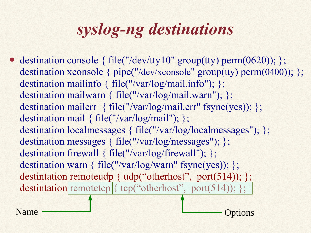# *syslog-ng destinations*

• destination console { file("/dev/tty10" group(tty) perm(0620)); }; destination xconsole { pipe("/dev/xconsole" group(tty) perm(0400)); }; destination mailinfo { file("/var/log/mail.info"); }; destination mailwarn { file("/var/log/mail.warn"); }; destination mailerr { file("/var/log/mail.err" fsync(yes)); }; destination mail { file("/var/log/mail"); }; destination localmessages { file("/var/log/localmessages"); }; destination messages { file("/var/log/messages"); }; destination firewall { file("/var/log/firewall"); }; destination warn { file("/var/log/warn" fsync(yes)); }; destintation remoteudp { udp("otherhost", port(514)); }; destintation remotetcp { tcp("otherhost", port(514)); };

Name — Solution Contains Containing Containing Options Contains Contains Contains Contains Contains Contains Contains Contains Contains Contains Contains Contains Contains Contains Contains Contains Contains Contains Conta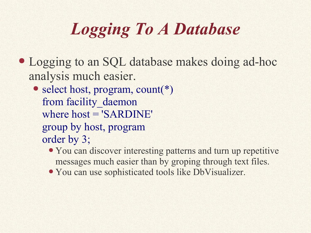# *Logging To A Database*

- Logging to an SQL database makes doing ad-hoc analysis much easier.
	- select host, program, count(\*) from facility daemon where host = 'SARDINE' group by host, program order by 3;
		- You can discover interesting patterns and turn up repetitive messages much easier than by groping through text files.
		- You can use sophisticated tools like DbVisualizer.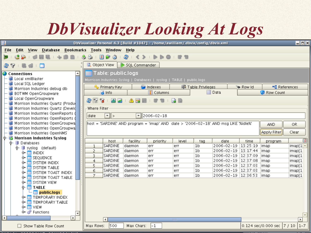## *DbVisualizer Looking At Logs*

|             |                                                                              |  |                |                           | DbVisualizer Personal 4.3 [Build #1047] - /home/awilliam/.dbvis/config/dbvis.xml |                           |              |                                   |                                                                                     |        |                             | - 미                 |
|-------------|------------------------------------------------------------------------------|--|----------------|---------------------------|----------------------------------------------------------------------------------|---------------------------|--------------|-----------------------------------|-------------------------------------------------------------------------------------|--------|-----------------------------|---------------------|
| <b>File</b> | Bookmarks Tools Window Help<br><b>Edit</b><br><b>View</b><br><b>Database</b> |  |                |                           |                                                                                  |                           |              |                                   |                                                                                     |        |                             |                     |
|             | 図<br>БŶ<br>€<br>æ<br>Ø                                                       |  |                |                           |                                                                                  |                           |              |                                   |                                                                                     |        |                             |                     |
|             | n                                                                            |  | Object View    |                           | SQL Commander                                                                    |                           |              |                                   |                                                                                     |        |                             |                     |
|             | 39                                                                           |  |                |                           |                                                                                  |                           |              |                                   |                                                                                     |        |                             |                     |
|             | ≐<br><b>Connections</b>                                                      |  |                | <b>Table:</b> public.logs |                                                                                  |                           |              |                                   |                                                                                     |        |                             |                     |
|             | Local xmlBlaster                                                             |  |                |                           | Morrison Industries Syslog   Databases   syslog   TABLE   public.logs            |                           |              |                                   |                                                                                     |        |                             |                     |
|             | Local SQL Ledger<br>Morrison Industries debug db                             |  |                | Primary Key               |                                                                                  | <sup>6</sup> Indexes      |              | <b>For Table Privileges</b>       |                                                                                     | Row Id |                             | <b>■</b> References |
|             | BOTWM OpenGroupware                                                          |  |                | $\bullet$ Info            |                                                                                  | $\Box$ Columns            |              |                                   | ⊞ Data                                                                              |        | Row Count                   |                     |
|             | Local OpenGroupware                                                          |  |                |                           |                                                                                  |                           |              |                                   |                                                                                     |        |                             |                     |
|             | Morrison Industries Quartz (Production                                       |  | 299            |                           |                                                                                  |                           |              |                                   |                                                                                     |        |                             |                     |
|             | Morrison Industries Quartz (Develd                                           |  | Where Filter   |                           |                                                                                  |                           |              |                                   |                                                                                     |        |                             |                     |
|             | Morrison Industries OpenReports (                                            |  | date           | $\Vert \mathbf{v} \Vert$  |                                                                                  | $\mathbf{F}$   2006-02-18 |              |                                   |                                                                                     |        |                             |                     |
|             | Morrison Industries OpenReports (                                            |  |                |                           |                                                                                  |                           |              |                                   |                                                                                     |        |                             |                     |
|             | Morrison Industries OpenGroupwa                                              |  |                |                           |                                                                                  |                           |              |                                   | host = 'SARDINE' AND program = 'imap' AND date > '2006-02-18' AND msg LIKE '%idle%' |        | <b>AND</b>                  | OR.                 |
|             | Morrison Industries OpenGroupwa                                              |  |                |                           |                                                                                  |                           |              | Apply Filter                      | Clear                                                                               |        |                             |                     |
|             | Morrison Industries OpenNMS<br><b>Morrison Industries Syslog</b>             |  |                |                           |                                                                                  |                           |              |                                   |                                                                                     |        |                             |                     |
|             | $\mathbf{\Diamond}\vdash\mathbf{B}$ Databases                                |  |                | host                      | facility                                                                         | priority                  | level        | tag                               | date                                                                                | time   | program                     | ।इ।                 |
|             | $\oint$ syslog (default)                                                     |  | $\mathbf{1}$   | <b>SARDINE</b>            | daemon                                                                           | err                       | err          | 1 <sub>b</sub>                    | 2006-02-19 13:25:19                                                                 |        | imap                        | imap[ $1$ $\sim$    |
|             | OF ██ INDEX                                                                  |  | 2              | <b>SARDINE</b>            | daemon                                                                           | err                       | err          | 1 <sub>b</sub>                    | 2006-02-19 13:17:44                                                                 |        | imap                        | imap[1              |
|             | SEQUENCE<br>⊩                                                                |  | 3.             | SARDINE                   | daemon                                                                           | err                       | err          | 1 <sub>b</sub>                    | 2006-02-19 12:37:09                                                                 |        | imap                        | imap[1              |
|             | SYSTEM INDEX<br>⊙−                                                           |  | $\overline{4}$ | <b>SARDINE</b><br>SARDINE | daemon<br>daemon                                                                 | err                       | err          | 1 <sub>b</sub><br> 1 <sub>b</sub> | 2006-02-19 12:37:08<br>2006-02-19 12:37:03                                          |        | imap                        | imap[1              |
|             | SYSTEM TABLE<br>⊙−                                                           |  | 5.<br>б        | SARDINE                   | daemon                                                                           | err<br>err                | err<br>err   | 1 <sub>b</sub>                    | 2006-02-19 12:37:03                                                                 |        | imap<br>imap                | imap[1<br>imap[1    |
|             | SYSTEM TOAST INDEX<br>⊙⊢                                                     |  | 7              | SARDINE                   | daemon                                                                           | err                       | err          | 1 <sub>b</sub>                    | 2006-02-19 12:36:53                                                                 |        | imap                        | imap[1]             |
|             | SYSTEM TOAST TABLE<br>⊙−                                                     |  |                |                           |                                                                                  |                           |              |                                   |                                                                                     |        |                             |                     |
|             | <b>O- SYSTEM VIEW</b><br>$\div$ <b>T</b> TABLE                               |  |                |                           |                                                                                  |                           |              |                                   |                                                                                     |        |                             |                     |
|             | $-\blacksquare$ publiciogs                                                   |  |                |                           |                                                                                  |                           |              |                                   |                                                                                     |        |                             |                     |
|             | <b>TEMPORARY INDEX</b><br>⊶                                                  |  |                |                           |                                                                                  |                           |              |                                   |                                                                                     |        |                             |                     |
|             | <b>E</b> TEMPORARY TABLE                                                     |  |                |                           |                                                                                  |                           |              |                                   |                                                                                     |        |                             |                     |
|             | OF ██ VIEW                                                                   |  |                |                           |                                                                                  |                           |              |                                   |                                                                                     |        |                             |                     |
|             | <b>்− சீ</b> Functions<br>$\overline{\mathbf{v}}$                            |  |                |                           |                                                                                  |                           |              |                                   |                                                                                     |        |                             |                     |
|             | $\mathbf{F}$<br><b>TITLE</b>                                                 |  |                | $\blacktriangleleft$      |                                                                                  |                           | <b>TITLE</b> |                                   |                                                                                     |        |                             |                     |
|             | Show Table Row Count                                                         |  | Max Rows:      | 500                       | Max Chars:                                                                       | $ -1$                     |              |                                   |                                                                                     |        | 0.124 sec/0.000 sec  7 / 10 | $1 - 7$             |
|             |                                                                              |  |                |                           |                                                                                  |                           |              |                                   |                                                                                     |        |                             |                     |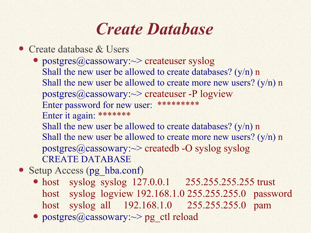### *Create Database*

- Create database & Users
	- postgres@cassowary:~> createuser syslog Shall the new user be allowed to create databases? (y/n) n Shall the new user be allowed to create more new users?  $(y/n)$  n postgres@cassowary: $\sim$  createuser -P logview Enter password for new user: \*\*\*\*\*\*\*\*\* Enter it again: \*\*\*\*\*\*\* Shall the new user be allowed to create databases? (y/n) n Shall the new user be allowed to create more new users?  $(y/n)$  n postgres@cassowary: $\sim$ > createdb -O syslog syslog CREATE DATABASE
- Setup Access (pg hba.conf)
	- host syslog syslog 127.0.0.1 255.255.255.255 trust host syslog logview 192.168.1.0 255.255.255.0 password host syslog all 192.168.1.0 255.255.255.0 pam
	- postgres@cassowary:~> pg\_ctl reload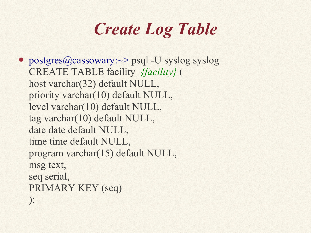## *Create Log Table*

• postgres@cassowary:~> psql -U syslog syslog CREATE TABLE facility\_*{facility}* ( host varchar(32) default NULL, priority varchar(10) default NULL, level varchar(10) default NULL, tag varchar(10) default NULL, date date default NULL, time time default NULL, program varchar(15) default NULL, msg text, seq serial, PRIMARY KEY (seq) );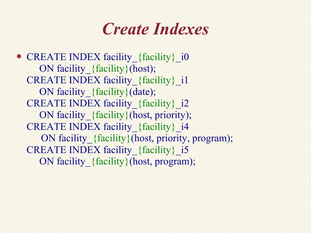### *Create Indexes*

• CREATE INDEX facility {facility} i0 ON facility {facility}(host); CREATE INDEX facility {facility} i1 ON facility {facility}(date); CREATE INDEX facility {facility} i2 ON facility {facility}(host, priority); CREATE INDEX facility {facility} i4 ON facility {facility}(host, priority, program); CREATE INDEX facility {facility} i5 ON facility {facility}(host, program);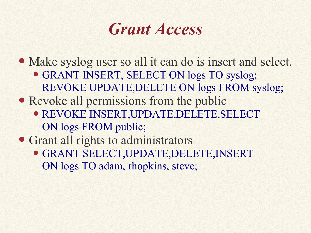### *Grant Access*

• Make syslog user so all it can do is insert and select.

- GRANT INSERT, SELECT ON logs TO syslog; REVOKE UPDATE,DELETE ON logs FROM syslog;
- Revoke all permissions from the public
	- REVOKE INSERT,UPDATE,DELETE,SELECT ON logs FROM public;

• Grant all rights to administrators

● GRANT SELECT,UPDATE,DELETE,INSERT ON logs TO adam, rhopkins, steve;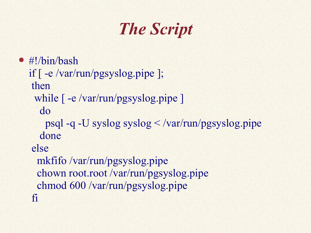# *The Script*

- #!/bin/bash
	- if [ -e /var/run/pgsyslog.pipe ]; then while  $\lceil -e / \frac{var}{run} \rangle$  pgsyslog.pipe ] do psql -q -U syslog syslog < /var/run/pgsyslog.pipe done else mkfifo /var/run/pgsyslog.pipe chown root.root /var/run/pgsyslog.pipe chmod 600 /var/run/pgsyslog.pipe fi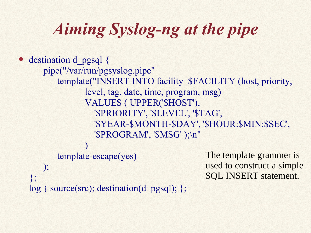# *Aiming Syslog-ng at the pipe*

```
destination d_pgsql {
   pipe("/var/run/pgsyslog.pipe"
       template("INSERT INTO facility_$FACILITY (host, priority,
              level, tag, date, time, program, msg)
             VALUES ( UPPER('$HOST'),
                '$PRIORITY', '$LEVEL', '$TAG',
                '$YEAR-$MONTH-$DAY', '$HOUR:$MIN:$SEC',
                '$PROGRAM',
'$MSG' );\n"
              )
       template-escape(yes)
   );
};
log { source(src); destination(d_pgsql); };
                                            The template grammer is
                                            used to construct a simple
                                            SQL INSERT statement.
```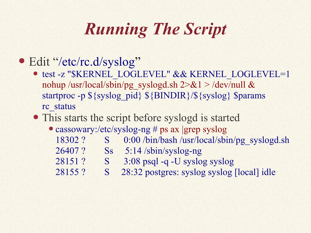# *Running The Script*

#### • Edit "/etc/rc.d/syslog"

● test -z "\$KERNEL\_LOGLEVEL" && KERNEL\_LOGLEVEL=1 nohup /usr/local/sbin/pg\_syslogd.sh  $2 > \& 1 >$ /dev/null & startproc -p  $\S$ {syslog\_pid}  $\S$ {BINDIR}/ $\S$ {syslog} \$params rc\_status

#### • This starts the script before syslogd is started

- cassowary:/etc/syslog-ng # ps ax |grep syslog
	- 18302 ? S 0:00 /bin/bash /usr/local/sbin/pg\_syslogd.sh
	- 26407 ? Ss 5:14 /sbin/syslog-ng
	- 28151 ? S 3:08 psql -q -U syslog syslog
	- 28155 ? S 28:32 postgres: syslog syslog [local] idle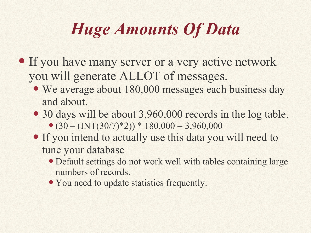# *Huge Amounts Of Data*

- If you have many server or a very active network you will generate ALLOT of messages.
	- We average about 180,000 messages each business day and about.
	- 30 days will be about 3,960,000 records in the log table.  $\bullet$  (30 – (INT(30/7)\*2)) \* 180,000 = 3,960,000
	- If you intend to actually use this data you will need to tune your database
		- Default settings do not work well with tables containing large numbers of records.
		- You need to update statistics frequently.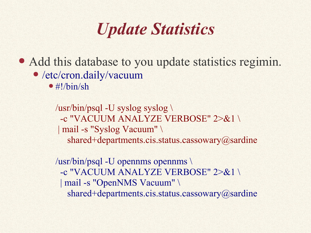### *Update Statistics*

- Add this database to you update statistics regimin.
	- /etc/cron.daily/vacuum
		- $\bullet$  #!/bin/sh

/usr/bin/psql -U syslog syslog \ -c "VACUUM ANALYZE VERBOSE" 2>&1 \ | mail -s "Syslog Vacuum" \ shared+departments.cis.status.cassowary@sardine

/usr/bin/psql -U opennms opennms \ -c "VACUUM ANALYZE VERBOSE" 2>&1 \ | mail -s "OpenNMS Vacuum" \ shared+departments.cis.status.cassowary@sardine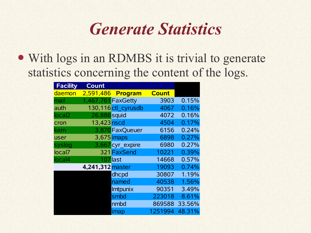### *Generate Statistics*

• With logs in an RDMBS it is trivial to generate statistics concerning the content of the logs.

| <b>Facility</b>    | <b>Count</b>       |                     |              |        |
|--------------------|--------------------|---------------------|--------------|--------|
| daemon             |                    | 2,591,486 Program   | <b>Count</b> |        |
| mail               | 1,467,761 FaxGetty |                     | 3903         | 0.15%  |
| auth               |                    | 130,116 ctl cyrusdb | 4067         | 0.16%  |
| local <sub>2</sub> | 26,886 squid       |                     | 4072         | 0.16%  |
| cron               | 13,423 nscd        |                     | 4504         | 0.17%  |
| kern               |                    | 3,870 Fax Queuer    | 6156         | 0.24%  |
| user               |                    | 3,675 imaps         | 6898         | 0.27%  |
| syslog             |                    | 3,667 cyr expire    | 6980         | 0.27%  |
| local7             |                    | 321 FaxSend         | 10221        | 0.39%  |
| local4             |                    | 107 last            | 14668        | 0.57%  |
|                    | 4,241,312 master   |                     | 19093        | 0.74%  |
|                    |                    | dhcpd               | 30807        | 1.19%  |
|                    |                    | named               | 40538        | 1.56%  |
|                    |                    | <b>Imtpunix</b>     | 90351        | 3.49%  |
|                    |                    | smbd                | 223018       | 8.61%  |
|                    |                    | nmbd                | 869588       | 33.56% |
|                    |                    | imap                | 1251994      | 48.31% |